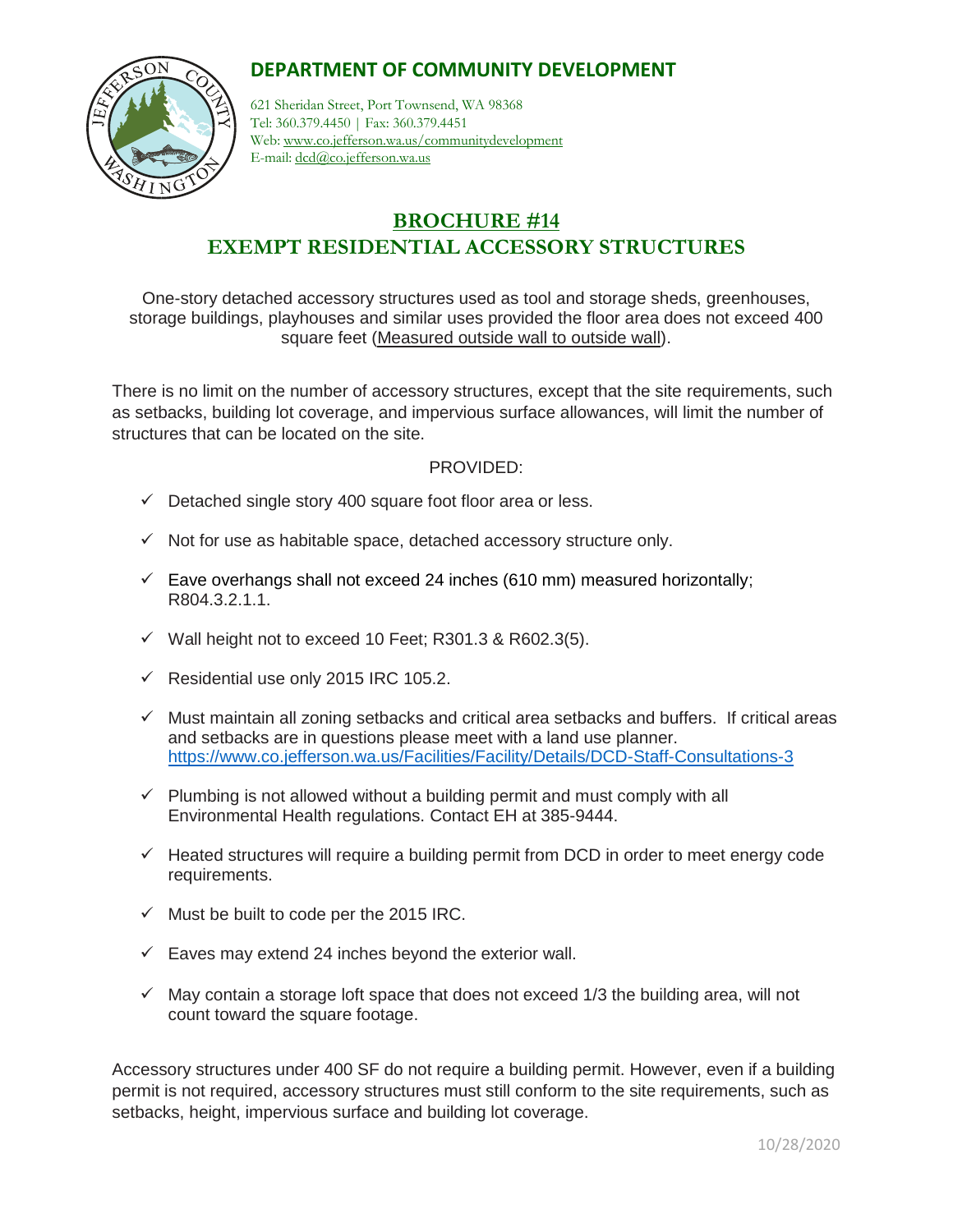## **DEPARTMENT OF COMMUNITY DEVELOPMENT**



621 Sheridan Street, Port Townsend, WA 98368 Tel: 360.379.4450 | Fax: 360.379.4451 Web: www.co.jefferson.wa.us/communitydevelopment E-mail: dcd@co.jefferson.wa.us

# **BROCHURE #14 EXEMPT RESIDENTIAL ACCESSORY STRUCTURES**

One-story detached accessory structures used as tool and storage sheds, greenhouses, storage buildings, playhouses and similar uses provided the floor area does not exceed 400 square feet (Measured outside wall to outside wall).

There is no limit on the number of accessory structures, except that the site requirements, such as setbacks, building lot coverage, and impervious surface allowances, will limit the number of structures that can be located on the site.

#### PROVIDED:

- $\checkmark$  Detached single story 400 square foot floor area or less.
- $\checkmark$  Not for use as habitable space, detached accessory structure only.
- $\checkmark$  Eave overhangs shall not exceed 24 inches (610 mm) measured horizontally; R804.3.2.1.1.
- $\checkmark$  Wall height not to exceed 10 Feet; R301.3 & R602.3(5).
- ✓ Residential use only 2015 IRC 105.2.
- $\checkmark$  Must maintain all zoning setbacks and critical area setbacks and buffers. If critical areas and setbacks are in questions please meet with a land use planner. <https://www.co.jefferson.wa.us/Facilities/Facility/Details/DCD-Staff-Consultations-3>
- $\checkmark$  Plumbing is not allowed without a building permit and must comply with all Environmental Health regulations. Contact EH at 385-9444.
- $\checkmark$  Heated structures will require a building permit from DCD in order to meet energy code requirements.
- $\checkmark$  Must be built to code per the 2015 IRC.
- $\checkmark$  Eaves may extend 24 inches beyond the exterior wall.
- $\checkmark$  May contain a storage loft space that does not exceed 1/3 the building area, will not count toward the square footage.

Accessory structures under 400 SF do not require a building permit. However, even if a building permit is not required, accessory structures must still conform to the site requirements, such as setbacks, height, impervious surface and building lot coverage.